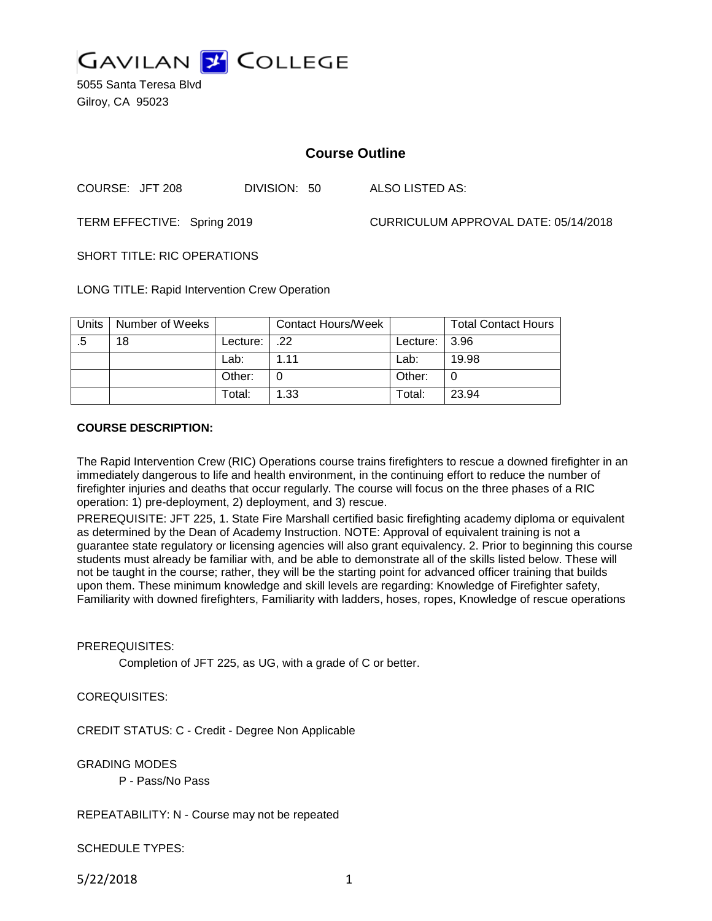

5055 Santa Teresa Blvd Gilroy, CA 95023

# **Course Outline**

COURSE: JFT 208 DIVISION: 50 ALSO LISTED AS:

TERM EFFECTIVE: Spring 2019 CURRICULUM APPROVAL DATE: 05/14/2018

SHORT TITLE: RIC OPERATIONS

LONG TITLE: Rapid Intervention Crew Operation

| <b>Units</b> | Number of Weeks |          | <b>Contact Hours/Week</b> |                  | <b>Total Contact Hours</b> |
|--------------|-----------------|----------|---------------------------|------------------|----------------------------|
| .5           | 18              | Lecture: | .22                       | Lecture: $ 3.96$ |                            |
|              |                 | Lab:     | 1 1 1                     | Lab:             | 19.98                      |
|              |                 | Other:   |                           | Other:           |                            |
|              |                 | Total:   | 1.33                      | Total:           | 23.94                      |

### **COURSE DESCRIPTION:**

The Rapid Intervention Crew (RIC) Operations course trains firefighters to rescue a downed firefighter in an immediately dangerous to life and health environment, in the continuing effort to reduce the number of firefighter injuries and deaths that occur regularly. The course will focus on the three phases of a RIC operation: 1) pre-deployment, 2) deployment, and 3) rescue.

PREREQUISITE: JFT 225, 1. State Fire Marshall certified basic firefighting academy diploma or equivalent as determined by the Dean of Academy Instruction. NOTE: Approval of equivalent training is not a guarantee state regulatory or licensing agencies will also grant equivalency. 2. Prior to beginning this course students must already be familiar with, and be able to demonstrate all of the skills listed below. These will not be taught in the course; rather, they will be the starting point for advanced officer training that builds upon them. These minimum knowledge and skill levels are regarding: Knowledge of Firefighter safety, Familiarity with downed firefighters, Familiarity with ladders, hoses, ropes, Knowledge of rescue operations

### PREREQUISITES:

Completion of JFT 225, as UG, with a grade of C or better.

## COREQUISITES:

CREDIT STATUS: C - Credit - Degree Non Applicable

#### GRADING MODES

P - Pass/No Pass

#### REPEATABILITY: N - Course may not be repeated

SCHEDULE TYPES:

5/22/2018 1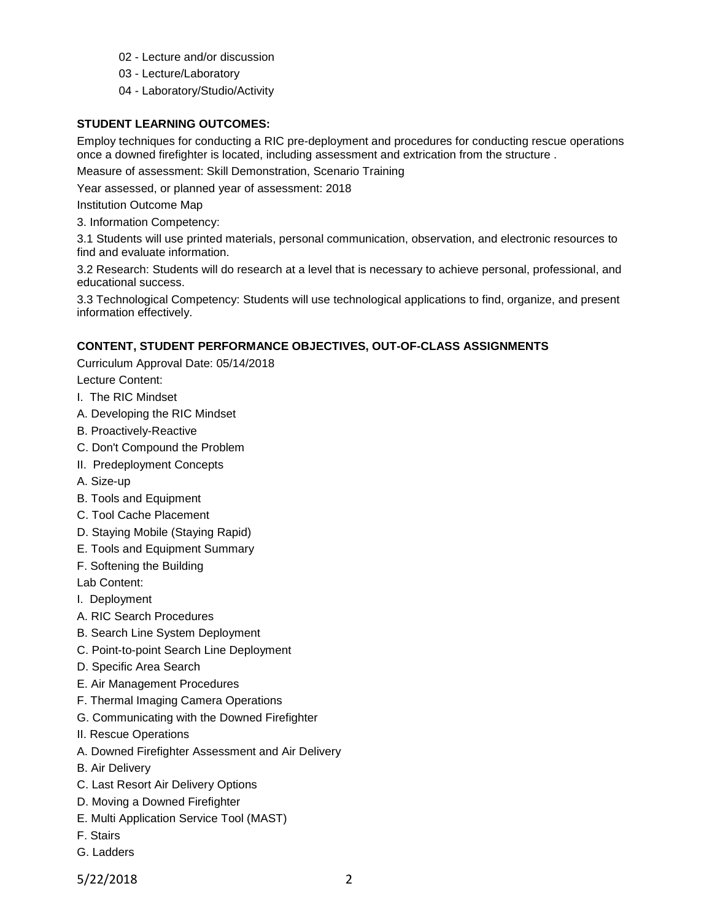- 02 Lecture and/or discussion
- 03 Lecture/Laboratory
- 04 Laboratory/Studio/Activity

## **STUDENT LEARNING OUTCOMES:**

Employ techniques for conducting a RIC pre-deployment and procedures for conducting rescue operations once a downed firefighter is located, including assessment and extrication from the structure .

Measure of assessment: Skill Demonstration, Scenario Training

Year assessed, or planned year of assessment: 2018

Institution Outcome Map

3. Information Competency:

3.1 Students will use printed materials, personal communication, observation, and electronic resources to find and evaluate information.

3.2 Research: Students will do research at a level that is necessary to achieve personal, professional, and educational success.

3.3 Technological Competency: Students will use technological applications to find, organize, and present information effectively.

## **CONTENT, STUDENT PERFORMANCE OBJECTIVES, OUT-OF-CLASS ASSIGNMENTS**

Curriculum Approval Date: 05/14/2018

- Lecture Content:
- I. The RIC Mindset
- A. Developing the RIC Mindset
- B. Proactively-Reactive
- C. Don't Compound the Problem
- II. Predeployment Concepts
- A. Size-up
- B. Tools and Equipment
- C. Tool Cache Placement
- D. Staying Mobile (Staying Rapid)
- E. Tools and Equipment Summary
- F. Softening the Building

Lab Content:

- I. Deployment
- A. RIC Search Procedures
- B. Search Line System Deployment
- C. Point-to-point Search Line Deployment
- D. Specific Area Search
- E. Air Management Procedures
- F. Thermal Imaging Camera Operations
- G. Communicating with the Downed Firefighter
- II. Rescue Operations
- A. Downed Firefighter Assessment and Air Delivery
- B. Air Delivery
- C. Last Resort Air Delivery Options
- D. Moving a Downed Firefighter
- E. Multi Application Service Tool (MAST)
- F. Stairs
- G. Ladders
- 5/22/2018 2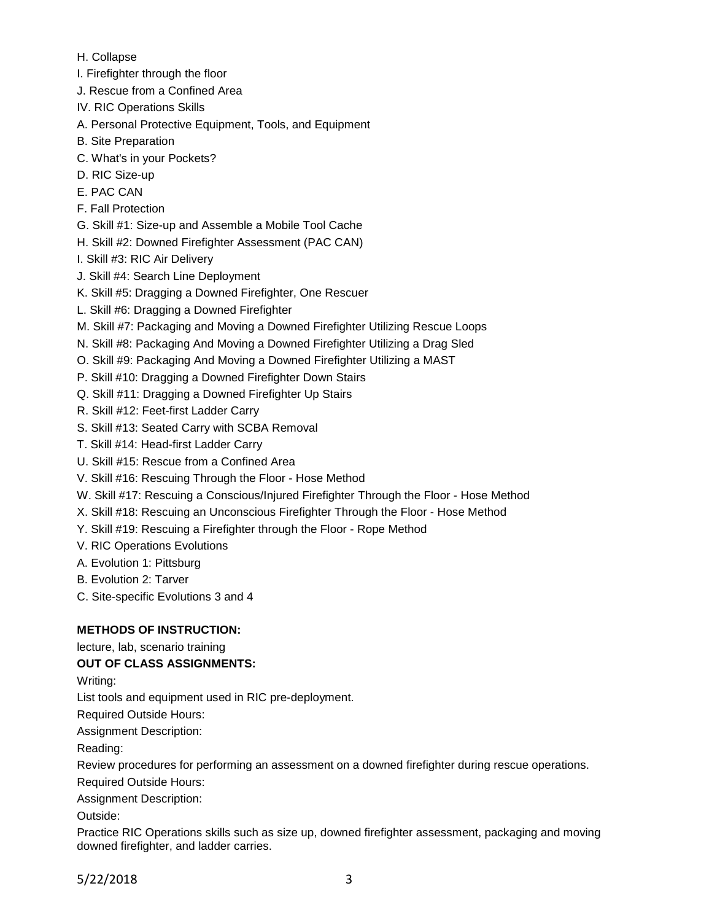- H. Collapse
- I. Firefighter through the floor
- J. Rescue from a Confined Area
- IV. RIC Operations Skills
- A. Personal Protective Equipment, Tools, and Equipment
- B. Site Preparation
- C. What's in your Pockets?
- D. RIC Size-up
- E. PAC CAN
- F. Fall Protection
- G. Skill #1: Size-up and Assemble a Mobile Tool Cache
- H. Skill #2: Downed Firefighter Assessment (PAC CAN)
- I. Skill #3: RIC Air Delivery
- J. Skill #4: Search Line Deployment
- K. Skill #5: Dragging a Downed Firefighter, One Rescuer
- L. Skill #6: Dragging a Downed Firefighter
- M. Skill #7: Packaging and Moving a Downed Firefighter Utilizing Rescue Loops
- N. Skill #8: Packaging And Moving a Downed Firefighter Utilizing a Drag Sled
- O. Skill #9: Packaging And Moving a Downed Firefighter Utilizing a MAST
- P. Skill #10: Dragging a Downed Firefighter Down Stairs
- Q. Skill #11: Dragging a Downed Firefighter Up Stairs
- R. Skill #12: Feet-first Ladder Carry
- S. Skill #13: Seated Carry with SCBA Removal
- T. Skill #14: Head-first Ladder Carry
- U. Skill #15: Rescue from a Confined Area
- V. Skill #16: Rescuing Through the Floor Hose Method
- W. Skill #17: Rescuing a Conscious/Injured Firefighter Through the Floor Hose Method
- X. Skill #18: Rescuing an Unconscious Firefighter Through the Floor Hose Method
- Y. Skill #19: Rescuing a Firefighter through the Floor Rope Method
- V. RIC Operations Evolutions
- A. Evolution 1: Pittsburg
- B. Evolution 2: Tarver
- C. Site-specific Evolutions 3 and 4

# **METHODS OF INSTRUCTION:**

lecture, lab, scenario training

# **OUT OF CLASS ASSIGNMENTS:**

Writing:

List tools and equipment used in RIC pre-deployment.

Required Outside Hours:

Assignment Description:

Reading:

Review procedures for performing an assessment on a downed firefighter during rescue operations. Required Outside Hours:

Assignment Description:

Outside:

Practice RIC Operations skills such as size up, downed firefighter assessment, packaging and moving downed firefighter, and ladder carries.